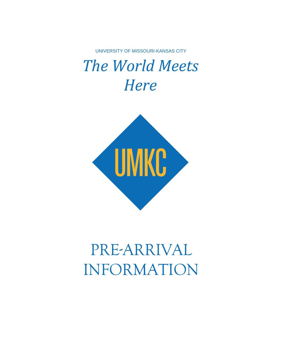UNIVERSITY OF MISSOURI-KANSAS CITY

# *The World Meets Here*



# PRE-ARRIVAL INFORMATION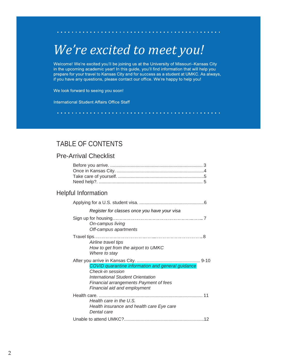# *We're excited to meet you!*

ο.

 $\mathcal{A}$  , and the set of the set of the set of the set of the  $\mathcal{A}$ 

Welcome! We're excited you'll be joining us at the University of Missouri-Kansas City in the upcoming academic year! In this guide, you'll find information that will help you prepare for your travel to Kansas City and for success as a student at UMKC. As always, if you have any questions, please contact our office. We're happy to help you!

**A record of the second contracts** 

We look forward to seeing you soon!

International Student Affairs Office Staff

## TABLE OF CONTENTS

### Pre-Arrival Checklist

| <b>Helpful Information</b>                                                                                                                                                           |
|--------------------------------------------------------------------------------------------------------------------------------------------------------------------------------------|
|                                                                                                                                                                                      |
| Register for classes once you have your visa                                                                                                                                         |
| On-campus living<br>Off-campus apartments                                                                                                                                            |
| Airline travel tips<br>How to get from the airport to UMKC<br>Where to stay                                                                                                          |
| COVID quarantine information and general guidance<br>Check-in session<br>International Student Orientation<br>Financial arrangements Payment of fees<br>Financial aid and employment |
| Health care in the U.S.<br>Health insurance and health care Eye care<br>Dental care                                                                                                  |
|                                                                                                                                                                                      |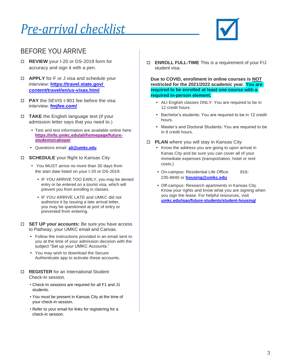# *Pre-arrival checklist*



## BEFORE YOU ARRIVE

- <span id="page-2-0"></span> **REVIEW** your I-20 or DS-2019 form for accuracy and sign it with a pen.
- **APPLY** for F or J visa and schedule your interview: **[https://travel.state.gov/](https://travel.state.gov/%20content/travel/en/us-visas.html)  [content/travel/en/us-visas.html](https://travel.state.gov/%20content/travel/en/us-visas.html)**
- **PAY** the SEVIS I-901 fee before the visa interview: **[fmjfee.com/](https://fmjfee.com/i901fee/index.html)**
- **TAKE** the English language test (if your admission letter says that you need to.)
	- Test and test information are available online here: **[https://info.umkc.edu/ali/homepage/future](https://info.umkc.edu/ali/homepage/future-students/caliope/)[students/caliope/](https://info.umkc.edu/ali/homepage/future-students/caliope/)**
	- Questions email: **[ali@umkc.edu](mailto:ali@umkc.edu)**
- **SCHEDULE** your flight to Kansas City
	- You MUST arrive no more than 30 days from the start date listed on your I-20 or DS-2019.
		- IF YOU ARRIVE TOO EARLY, you may be denied entry or be entered on a tourist visa, which will prevent you from enrolling in classes.
		- IF YOU ARRIVE LATE and UMKC did not authorize it by issuing a late arrival letter, you may be questioned at port of entry or prevented from entering.
- **SET UP your accounts:** Be sure you have access to Pathway, your UMKC email and Canvas.
	- Follow the instructions provided in an email sent to you at the time of your admission decision with the subject "Set up your UMKC Accounts."
	- You may wish to download the Secure Authenticate app to activate these accounts.
- **REGISTER** for an International Student Check-In session.
	- Check-In sessions are required for all F1 and J1 students.
	- You must be present in Kansas City at the time of your check-in session.
	- Refer to your email for links for registering for a check-in session.

**ENROLL FULL-TIME** This is a requirement of your F/J student visa.

**Due to COVID, enrollment in online courses is NOT restricted for the 2021/2022 academic year. You are required to be enrolled at least one course with a required in-person element.**

- ALI English classes ONLY: You are required to be in 12 credit hours.
- Bachelor's students: You are required to be in 12 credit hours.
- Master's and Doctoral Students: You are required to be in 9 credit hours.
- <span id="page-2-1"></span>**PLAN** where you will stay in Kansas City
	- Know the address you are going to upon arrival in Kanas City and be sure you can cover all of your immediate expenses (transportation, hotel or rent costs.)
	- On-campus: Residential Life Office: 816- 235-8840 or **[housing@umkc.edu](mailto:housing@umkc.edu)**
	- Off-campus: Research apartments in Kansas City. Know your rights and know what you are signing when you sign the lease. For helpful resources, visit **[umkc.edu/isao/future-students/student-housing/](https://travel.state.gov/%20content/travel/en/us-visas.html)**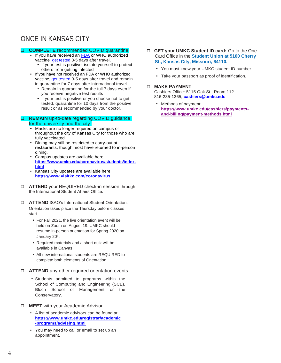# ONCE IN KANSAS CITY

### **COMPLETE** recommended COVID quarantine

- If you have received an [FDA](https://www.fda.gov/emergency-preparedness-and-response/coronavirus-disease-2019-covid-19/covid-19-vaccines) or WHO authorized vaccine [get tested](https://www.umkc.edu/coronavirus/testing-sites/covid-19-testing-sites.html) 3-5 days after travel.
	- If your test is positive, isolate yourself to protect others from getting infected
- [If you have not received an FDA or WHO authorized](https://www.umkc.edu/coronavirus/testing-sites/covid-19-testing-sites.html)  [vaccine, get tested](https://www.umkc.edu/coronavirus/testing-sites/covid-19-testing-sites.html) 3-5 days after travel and remain in quarantine for 7 days after international travel.
	- Remain in quarantine for the full 7 days even if you receive negative test results
	- If your test is positive or you choose not to get tested, quarantine for 10 days from the positive result or as recommended by your doctor.

#### **REMAIN** up-to-date regarding COVID guidance for the university and the city:

- Masks are no longer required on campus or throughout the city of Kansas City for those who are fully vaccinated.
- Dining may still be restricted to carry-out at restaurants, though most have returned to in-person dining.
- Campus updates are available here: **[https://www.umkc.edu/coronavirus/students/index.](https://www.umkc.edu/coronavirus/students/index.html) [html](https://www.umkc.edu/coronavirus/students/index.html)**
- Kansas City updates are available here: **<https://www.visitkc.com/coronavirus>**
- **ATTEND** your REQUIRED check-in session through the International Student Affairs Office.
- **ATTEND** ISAO's International Student Orientation. Orientation takes place the Thursday before classes start.
	- For Fall 2021, the live orientation event will be held on Zoom on August 19. UMKC should resume in-person orientation for Spring 2020 on January 20<sup>th</sup>.
	- Required materials and a short quiz will be available in Canvas.
	- All new international students are REQUIRED to complete both elements of Orientation.
- **ATTEND** any other required orientation events.
	- Students admitted to programs within the School of Computing and Engineering (SCE), Bloch School of Management or the Conservatory.
- **MEET** with your Academic Advisor
	- A list of academic advisors can be found at: **[https://www.umkc.edu/registrar/academic](https://www.umkc.edu/registrar/academic-programs/advising.html) [-programs/advising.html](https://www.umkc.edu/registrar/academic-programs/advising.html)**
	- You may need to call or email to set up an appointment.
- **GET your UMKC Student ID card:** Go to the One Card Office in the **Student Union at 5100 Cherry St., Kansas City, Missouri, 64110.**
	- You must know your UMKC student ID number.
	- Take your passport as proof of identification.

### **MAKE PAYMENT**

Cashiers Office: 5115 Oak St., Room 112. 816-235-1365, **[cashiers@umkc.edu](mailto:cashiers@umkc.edu)**

• Methods of payment: **[https://www.umkc.edu/cashiers/payments](https://www.umkc.edu/cashiers/payments-and-billing/payment-methods.html)[and-billing/payment-methods.html](https://www.umkc.edu/cashiers/payments-and-billing/payment-methods.html)**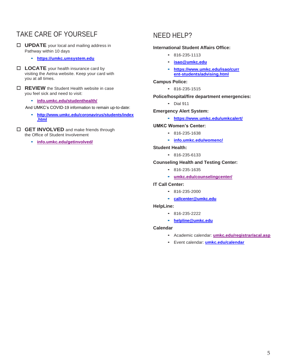# <span id="page-4-0"></span>TAKE CARE OF YOURSELF

- **UPDATE** your local and mailing address in Pathway within 10 days
	- **• [https://umkc.umsystem.edu](https://umkc.umsystem.edu/)**
- **LOCATE** your health insurance card by visiting the Aetna website. Keep your card with you at all times.
- **REVIEW** the Student Health website in case you feel sick and need to visit:
	- **• [info.umkc.edu/studenthealth/](https://www.umkc.edu/studenthealth/)**

And UMKC's COVID-19 information to remain up-to-date:

- **• [http://www.umkc.edu/coronavirus/students/index](http://www.umkc.edu/coronavirus/students/index.html) [.html](http://www.umkc.edu/coronavirus/students/index.html)**
- **GET INVOLVED** and make friends through the Office of Student Involvement
	- **• [info.umkc.edu/getinvolved/](https://info.umkc.edu/getinvolved/)**

### <span id="page-4-1"></span>NEED HELP?

### **International Student Affairs Office:**

- 816-235-1113
- **[isao@umkc.edu](mailto:isao@umkc.edu)**
- **• [https://www.umkc.edu/isao/curr](https://www.umkc.edu/isao/current-students/advising.html) [ent-students/advising.html](https://www.umkc.edu/isao/current-students/advising.html)**

**Campus Police:**

• 816-235-1515

**Police/hospital/fire department emergencies:**

• Dial 911

**Emergency Alert System:**

**• <https://www.umkc.edu/umkcalert/>**

### **UMKC Women's Center:**

- 816-235-1638
- **• [info.umkc.edu/womenc/](https://info.umkc.edu/womenc/)**

#### **Student Health:**

• 816-235-6133

### **Counseling Health and Testing Center:**

- 816-235-1635
- **• [umkc.edu/counselingcenter/](http://www.umkc.edu/counselingcenter/)**

### **IT Call Center:**

- 816-235-2000
- **• [callcenter@umkc.edu](mailto:callcenter@umkc.edu)**

#### **HelpLine:**

- 816-235-2222
- **• [helpline@umkc.edu](mailto:helpline@umkc.edu)**

#### **Calendar**

- Academic calendar: **[umkc.edu/registrar/acal.asp](http://www.umkc.edu/registrar/acal.asp)**
- Event calendar: **[umkc.edu/calendar](http://www.umkc.edu/calendar)**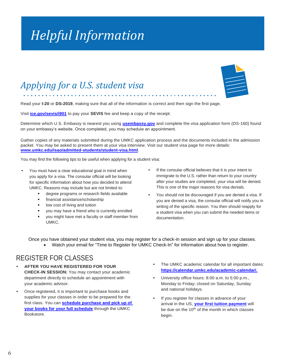# *Helpful Information*

# <span id="page-5-0"></span>*Applying for a U.S. student visa*

Read your **I-20** or **DS-2019**, making sure that all of the information is correct and then sign the first page.

Visit **[ice.gov/sevis/i901](https://www.ice.gov/sevis/i901)** to pay your **SEVIS** fee and keep a copy of the receipt.

Determine which U.S. Embassy is nearest you using **[usembassy.gov](https://www.usembassy.gov/)** and complete the visa application form (DS-160) found on your embassy's website. Once completed, you may schedule an appointment.

Gather copies of any materials submitted during the UMKC application process and the documents included in the admission packet. You may be asked to present them at your visa interview. Visit our student visa page for more details: **[www.umkc.edu/isao/admitted-students/student-visa.html](https://www.umkc.edu/isao/admitted-students/student-visa.html)**.

You may find the following tips to be useful when applying for a student visa:

- You must have a clear educational goal in mind when you apply for a visa. The consular official will be looking for specific information about how you decided to attend UMKC. Reasons may include but are not limited to:
	- degree programs or research fields available
	- financial assistance/scholarship
	- low cost of living and tuition
	- you may have a friend who is currently enrolled
	- you might have met a faculty or staff member from UMKC.
- If the consular official believes that it is your intent to immigrate to the U.S. rather than return to your country after your studies are completed, your visa will be denied. This is one of the major reasons for visa denials.
- You should not be discouraged if you are denied a visa. If you are denied a visa, the consular official will notify you in writing of the specific reason. You then should reapply for a student visa when you can submit the needed items or documentation.

Once you have obtained your student visa, you may register for a check-in session and sign up for your classes.

• Watch your email for "Time to Register for UMKC Check-In" for information about how to register.

### REGISTER FOR CLASSES

- **AFTER YOU HAVE REGISTERED FOR YOUR CHECK-IN SESSION:** You may contact your academic department directly to schedule an appointment with your academic advisor.
- Once registered, it is important to purchase books and supplies for your classes in order to be prepared for the first class. You can **[schedule purchase and pick up of](https://missouri.qualtrics.com/jfe/form/SV_6KDgfLvXZTCLCHY)  [your books for your full schedule](https://missouri.qualtrics.com/jfe/form/SV_6KDgfLvXZTCLCHY)** through the UMKC Bookstore.
- The UMKC academic calendar for all important dates: **[https://calendar.umkc.edu/academic-calendar/.](https://calendar.umkc.edu/academic-calendar/)**
- University office hours: 8:00 a.m. to 5:00 p.m., Monday to Friday; closed on Saturday, Sunday and national holidays.
- If you register for classes in advance of your arrival in the US, **your first [tuition payment](https://www.umkc.edu/cashiers/payments-and-billing/payment-schedules.html)** will be due on the 10<sup>th</sup> of the month in which classes begin.

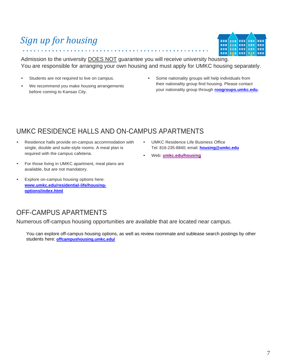# <span id="page-6-0"></span>*Sign up for housing*

Admission to the university DOES NOT guarantee you will receive university housing. You are responsible for arranging your own housing and must apply for UMKC housing separately.

- Students are not required to live on campus.
- We recommend you make housing arrangements before coming to Kansas City.
- Some nationality groups will help individuals from their nationality group find housing. Please contact your nationality group through **[roogroups.umkc.edu.](https://roogroups.umkc.edu/)**

# UMKC RESIDENCE HALLS AND ON-CAMPUS APARTMENTS

- Residence halls provide on-campus accommodation with single, double and suite-style rooms. A meal plan is required with the campus cafeteria.
- For those living in UMKC apartment, meal plans are available, but are not mandatory.
- Explore on-campus housing options here: **[www.umkc.edu/residential-life/housing](https://www.umkc.edu/residential-life/housing-options/index.html)[options/index.html](https://www.umkc.edu/residential-life/housing-options/index.html)**

## OFF-CAMPUS APARTMENTS

Numerous off-campus housing opportunities are available that are located near campus.

You can explore off-campus housing options, as well as review roommate and sublease search postings by other students here: **[offcampushousing.umkc.edu/](https://offcampushousing.umkc.edu/)**

- UMKC Residence Life Business Office Tel: 816-235-8840; email: **[housing@umkc.edu](mailto:housing@umkc.edu)**
- Web: **[umkc.edu/housing](https://www.umkc.edu/housing/)**

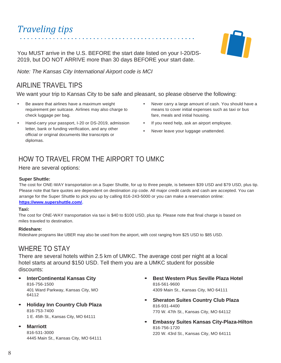# *Traveling tips*

You MUST arrive in the U.S. BEFORE the start date listed on your I-20/DS-2019, but DO NOT ARRIVE more than 30 days BEFORE your start date.

*Note: The Kansas City International Airport code is MCI*

# <span id="page-7-0"></span>AIRLINE TRAVEL TIPS

We want your trip to Kansas City to be safe and pleasant, so please observe the following:

- Be aware that airlines have a maximum weight requirement per suitcase. Airlines may also charge to check luggage per bag.
- Hand-carry your passport, I-20 or DS-2019, admission letter, bank or funding verification, and any other official or original documents like transcripts or diplomas.
- Never carry a large amount of cash. You should have a means to cover initial expenses such as taxi or bus fare, meals and initial housing.
- If you need help, ask an airport employee.
- Never leave your luggage unattended.

# HOW TO TRAVEL FROM THE AIRPORT TO UMKC

Here are several options:

### **Super Shuttle:**

The cost for ONE-WAY transportation on a Super Shuttle, for up to three people, is between \$39 USD and \$79 USD, plus tip. Please note that fare quotes are dependent on destination zip code. All major credit cards and cash are accepted. You can arrange for the Super Shuttle to pick you up by calling 816-243-5000 or you can make a reservation online: **[https://www.supershuttle.com/.](https://www.supershuttle.com/)**

### **Taxi:**

The cost for ONE-WAY transportation via taxi is \$40 to \$100 USD, plus tip. Please note that final charge is based on miles traveled to destination.

### **Rideshare:**

Rideshare programs like UBER may also be used from the airport, with cost ranging from \$25 USD to \$85 USD.

### WHERE TO STAY

There are several hotels within 2.5 km of UMKC. The average cost per night at a local hotel starts at around \$150 USD. Tell them you are a UMKC student for possible discounts:

- **• InterContinental Kansas City** 816-756-1500 401 Ward Parkway, Kansas City, MO 64112
- **• Holiday Inn Country Club Plaza** 816-753-7400 1 E. 45th St., Kansas City, MO 64111
- **• Marriott**

816-531-3000 4445 Main St., Kansas City, MO 64111

- **• Best Western Plus Seville Plaza Hotel** 816-561-9600 4309 Main St., Kansas City, MO 64111
- **• Sheraton Suites Country Club Plaza** 816-931-4400 770 W. 47th St., Kansas City, MO 64112
- **• Embassy Suites Kansas City-Plaza-Hilton** 816-756-1720 220 W. 43rd St., Kansas City, MO 64111

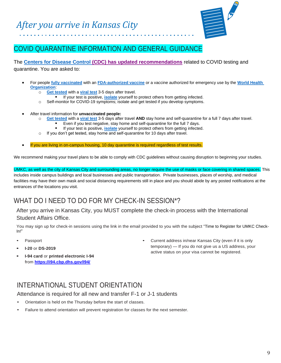

# <span id="page-8-0"></span>COVID QUARANTINE INFORMATION AND GENERAL GUIDANCE

The **[Centers for Disease Control](https://www.cdc.gov/coronavirus/2019-ncov/travelers/after-travel-precautions.html) [\(CDC\) has updated recommendations](https://www.cdc.gov/coronavirus/2019-ncov/travelers/after-travel-precautions.html)** related to COVID testing and quarantine. You are asked to:

- For people **[fully vaccinated](https://www.cdc.gov/coronavirus/2019-ncov/vaccines/fully-vaccinated.html)** with an **[FDA-authorized vaccine](https://www.fda.gov/emergency-preparedness-and-response/coronavirus-disease-2019-covid-19/covid-19-vaccines)** or a vaccine authorized for emergency use by the **[World Health](https://extranet.who.int/pqweb/sites/default/files/documents/Status_COVID_VAX_18May2021.pdf)  [Organization](https://extranet.who.int/pqweb/sites/default/files/documents/Status_COVID_VAX_18May2021.pdf)**:
	- o **Get tested** with a **[viral test](https://www.cdc.gov/coronavirus/2019-ncov/testing/diagnostic-testing.html)** 3-5 days after travel.
		- If your test is positive, *[isolate](https://www.cdc.gov/coronavirus/2019-ncov/if-you-are-sick/isolation.html)* yourself to protect others from getting infected.
	- o Self-monitor for COVID-19 symptoms; isolate and get tested if you develop symptoms.
- After travel information for **unvaccinated people:**
	- Get tested with a *[viral test](https://www.cdc.gov/coronavirus/2019-ncov/testing/diagnostic-testing.html)* 3-5 days after travel AND stay home and self-quarantine for a full 7 days after travel.
		- Even if you test negative, stay home and self-quarantine for the full 7 days.
	- If your test is positive, *[isolate](https://www.cdc.gov/coronavirus/2019-ncov/if-you-are-sick/isolation.html)* yourself to protect others from getting infected.
	- o If you don't get tested, stay home and self-quarantine for 10 days after travel.
- If you are living in on-campus housing, 10 day quarantine is required regardless of test results.

We recommend making your travel plans to be able to comply with CDC guidelines without causing disruption to beginning your studies.

UMKC, as well as the city of Kansas City and surrounding areas, no longer require the use of masks or face covering in shared spaces. This includes inside campus buildings and local businesses and public transportation. Private businesses, places of worship, and medical facilities may have their own mask and social distancing requirements still in place and you should abide by any posted notifications at the entrances of the locations you visit.

# WHAT DO I NEED TO DO FOR MY CHECK-IN SESSION\*?

After you arrive in Kansas City, you MUST complete the check-in process with the International Student Affairs Office.

You may sign up for check-in sessions using the link in the email provided to you with the subject "Time to Register for UMKC Check-In!"

- Passport
- **• I-20** or **DS-2019**
- **• I-94 card** or **printed electronic I-94** from **<https://i94.cbp.dhs.gov/I94/>**

• Current address in/near Kansas City (even if it is only temporary) — If you do not give us a US address, your active status on your visa cannot be registered.

## INTERNATIONAL STUDENT ORIENTATION

Attendance is required for all new and transfer F-1 or J-1 students

- Orientation is held on the Thursday before the start of classes.
- Failure to attend orientation will prevent registration for classes for the next semester.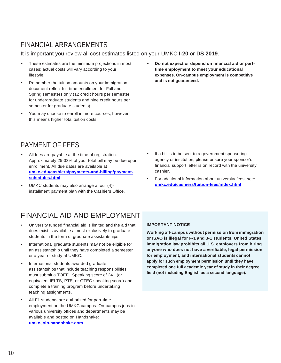# FINANCIAL ARRANGEMENTS

It is important you review all cost estimates listed on your UMKC **I-20** or **DS 2019**.

- These estimates are the minimum projections in most cases; actual costs will vary according to your lifestyle.
- Remember the tuition amounts on your immigration document reflect full-time enrollment for Fall and Spring semesters only (12 credit hours per semester for undergraduate students and nine credit hours per semester for graduate students).
- You may choose to enroll in more courses; however, this means higher total tuition costs.

# PAYMENT OF FEES

- All fees are payable at the time of registration. Approximately 25-33% of your total bill may be due upon enrollment. All due dates are available at **[umkc.edu/cashiers/payments-and-billing/payment](https://www.umkc.edu/cashiers/payments-and-billing/payment-schedules.html)[schedules.html](https://www.umkc.edu/cashiers/payments-and-billing/payment-schedules.html)**
- UMKC students may also arrange a four (4) installment payment plan with the Cashiers Office.

**• Do not expect or depend on financial aid or parttime employment to meet your educational expenses. On-campus employment is competitive and is not guaranteed.**

- If a bill is to be sent to a government sponsoring agency or institution, please ensure your sponsor's financial support letter is on record with the university cashier.
- For additional information about university fees, see: **[umkc.edu/cashiers/tuition-fees/index.html](https://www.umkc.edu/cashiers/tuition-fees/index.html)**

# FINANCIAL AID AND EMPLOYMENT

- University funded financial aid is limited and the aid that does exist is available almost exclusively to graduate students in the form of graduate assistantships.
- International graduate students may not be eligible for an assistantship until they have completed a semester or a year of study at UMKC.
- International students awarded graduate assistantships that include teaching responsibilities must submit a TOEFL Speaking score of 24+ (or equivalent IELTS, PTE, or GTEC speaking score) and complete a training program before undertaking teaching assignments.
- All F1 students are authorized for part-time employment on the UMKC campus. On-campus jobs in various university offices and departments may be available and posted on Handshake: **[umkc.join.handshake.com](https://umkc.joinhandshake.com/login)**

### **IMPORTANT NOTICE**

**Working off-campus without permission from immigration or ISAO is illegal for F-1 and J-1 students. United States immigration law prohibits all U.S. employers from hiring anyone who does not have a verifiable, legal permission for employment, and international students cannot apply for such employment permission until they have completed one full academic year of study in their degree field (not including English as a second language).**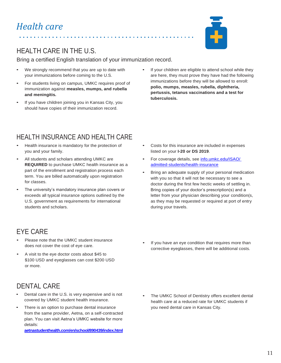

# HEALTH CARE IN THE U.S.

Bring a certified English translation of your immunization record.

- We strongly recommend that you are up to date with your immunizations before coming to the U.S.
- For students living on campus, UMKC requires proof of immunization against **measles, mumps, and rubella and meningitis.**
- If you have children joining you in Kansas City, you should have copies of their immunization record.
- If your children are eligible to attend school while they are here, they must prove they have had the following immunizations before they will be allowed to enroll: **polio, mumps, measles, rubella, diphtheria, pertussis, tetanus vaccinations and a test for tuberculosis.**

# HEALTH INSURANCE AND HEALTH CARE

- Health insurance is mandatory for the protection of you and your family.
- All students and scholars attending UMKC are **REQUIRED** to purchase UMKC health insurance as a part of the enrollment and registration process each term. You are billed automatically upon registration for classes.
- The university's mandatory insurance plan covers or exceeds all typical insurance options outlined by the U.S. government as requirements for international students and scholars.
- Costs for this insurance are included in expenses listed on your **I-20 or DS 2019**.
- For coverage details, see info.umkc.edu/ISAO/ [admitted-students/health-insurance](https://mailmissouri-my.sharepoint.com/personal/parsonsml_umsystem_edu/Documents/Microsoft%20Teams%20Chat%20Files/info.umkc.edu/ISAO/%20admitted-students/health-insurance)
- Bring an adequate supply of your personal medication with you so that it will not be necessary to see a doctor during the first few hectic weeks of settling in. Bring copies of your doctor's prescription(s) and a letter from your physician describing your condition(s, as they may be requested or required at port of entry during your travels.

# EYE CARE

- Please note that the UMKC student insurance does not cover the cost of eye care.
- A visit to the eye doctor costs about \$45 to \$100 USD and eyeglasses can cost \$200 USD or more.

# DENTAL CARE

- Dental care in the U.S. is very expensive and is not covered by UMKC student health insurance.
- There is an option to purchase dental insurance from the same provider, Aetna, on a self-contracted plan. You can visit Aetna's UMKC website for more details:

**[aetnastudenthealth.com/en/school/890439/index.html](https://www.aetnastudenthealth.com/en/school/890439/index.html)**

If you have an eye condition that requires more than corrective eyeglasses, there will be additional costs.

The UMKC School of Dentistry offers excellent dental health care at a reduced rate for UMKC students if you need dental care in Kansas City.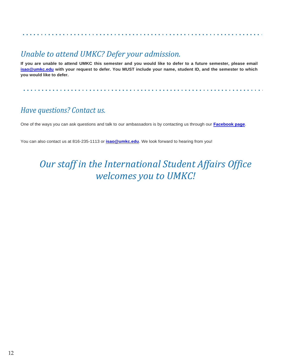# *Unable to attend UMKC? Defer your admission.*

**If you are unable to attend UMKC this semester and you would like to defer to a future semester, please email [isao@umkc.edu](mailto:isao@umkc.edu) with your request to defer. You MUST include your name, student ID, and the semester to which you would like to defer.**

# *Have questions? Contact us.*

One of the ways you can ask questions and talk to our ambassadors is by contacting us through our **[Facebook page](https://www.facebook.com/UMKCInternationalStudentAffairsOffice)**.

You can also contact us at 816-235-1113 or **[isao@umkc.edu](mailto:isao@umkc.edu)**. We look forward to hearing from you!

# *Our staff in the International Student Affairs Office welcomes you to UMKC!*